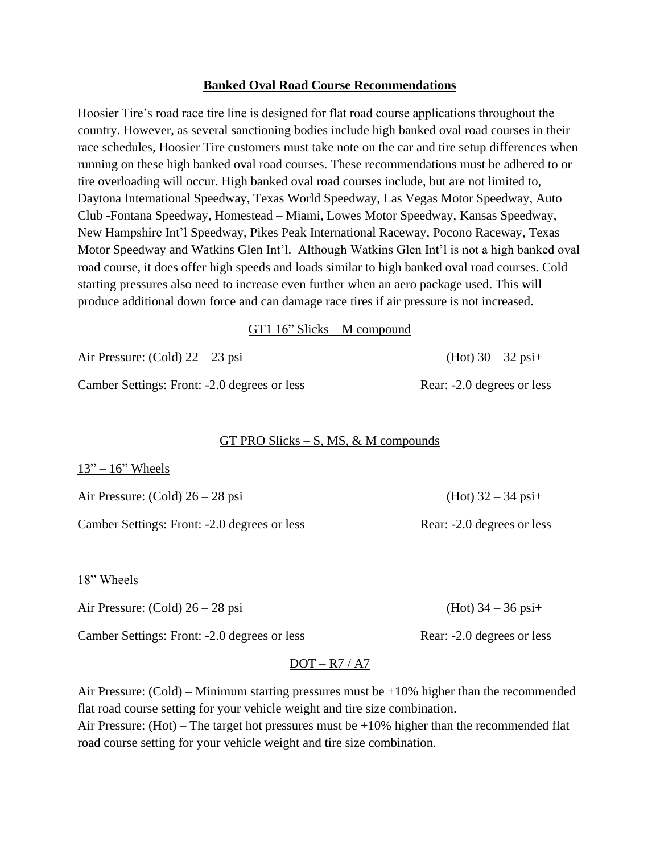## **Banked Oval Road Course Recommendations**

Hoosier Tire's road race tire line is designed for flat road course applications throughout the country. However, as several sanctioning bodies include high banked oval road courses in their race schedules, Hoosier Tire customers must take note on the car and tire setup differences when running on these high banked oval road courses. These recommendations must be adhered to or tire overloading will occur. High banked oval road courses include, but are not limited to, Daytona International Speedway, Texas World Speedway, Las Vegas Motor Speedway, Auto Club -Fontana Speedway, Homestead – Miami, Lowes Motor Speedway, Kansas Speedway, New Hampshire Int'l Speedway, Pikes Peak International Raceway, Pocono Raceway, Texas Motor Speedway and Watkins Glen Int'l. Although Watkins Glen Int'l is not a high banked oval road course, it does offer high speeds and loads similar to high banked oval road courses. Cold starting pressures also need to increase even further when an aero package used. This will produce additional down force and can damage race tires if air pressure is not increased.

## GT1 16" Slicks – M compound

Air Pressure: (Cold)  $22 - 23$  psi (Hot)  $30 - 32$  psi+ Camber Settings: Front: -2.0 degrees or less Rear: -2.0 degrees or less

#### GT PRO Slicks – S, MS,  $&$  M compounds

#### $13" - 16"$  Wheels

Air Pressure: (Cold)  $26 - 28$  psi (Hot)  $32 - 34$  psi+

Camber Settings: Front: -2.0 degrees or less Rear: -2.0 degrees or less

#### 18" Wheels

Air Pressure: (Cold)  $26 - 28$  psi (Hot)  $34 - 36$  psi+

Camber Settings: Front: -2.0 degrees or less Rear: -2.0 degrees or less

## DOT – R7 / A7

Air Pressure:  $(Cold)$  – Minimum starting pressures must be  $+10\%$  higher than the recommended flat road course setting for your vehicle weight and tire size combination. Air Pressure:  $(Hot)$  – The target hot pressures must be  $+10\%$  higher than the recommended flat road course setting for your vehicle weight and tire size combination.